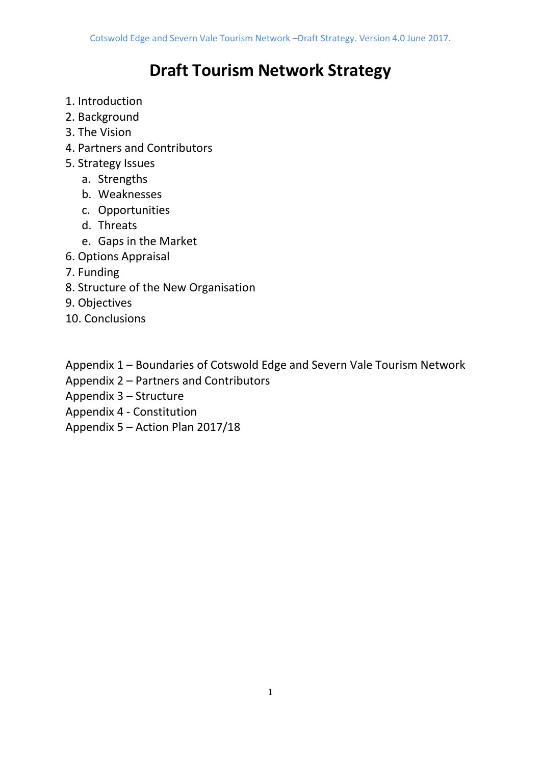# **Draft Tourism Network Strategy**

- 1. Introduction
- 2. Background
- 3. The Vision
- 4. Partners and Contributors
- 5. Strategy Issues
	- a. Strengths
	- b. Weaknesses
	- c. Opportunities
	- d. Threats
	- e. Gaps in the Market
- 6. Options Appraisal
- 7. Funding
- 8. Structure of the New Organisation
- 9. Objectives
- 10. Conclusions

Appendix 1 – Boundaries of Cotswold Edge and Severn Vale Tourism Network

Appendix 2 – Partners and Contributors

Appendix 3 – Structure

- Appendix 4 Constitution
- Appendix 5 Action Plan 2017/18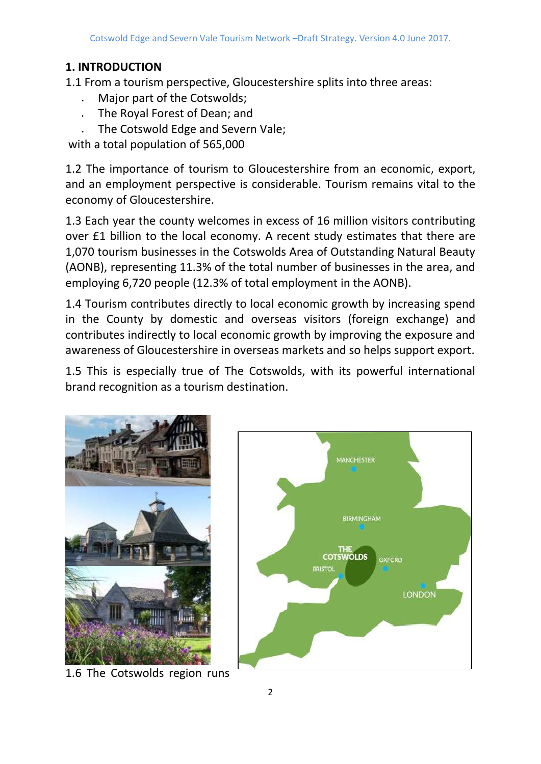# **1. INTRODUCTION**

1.1 From a tourism perspective, Gloucestershire splits into three areas:

- Major part of the Cotswolds;
- The Royal Forest of Dean; and
- The Cotswold Edge and Severn Vale;

with a total population of 565,000.

1.2 The importance of tourism to Gloucestershire from an economic, export, and an employment perspective is considerable. Tourism remains vital to the economy of Gloucestershire.

1.3 Each year the county welcomes in excess of 16 million visitors contributing over £1 billion to the local economy. A recent study estimates that there are 1,070 tourism businesses in the Cotswolds Area of Outstanding Natural Beauty (AONB), representing 11.3% of the total number of businesses in the area, and employing 6,720 people (12.3% of total employment in the AONB).

1.4 Tourism contributes directly to local economic growth by increasing spend in the County by domestic and overseas visitors (foreign exchange) and contributes indirectly to local economic growth by improving the exposure and awareness of Gloucestershire in overseas markets and so helps support export.

1.5 This is especially true of The Cotswolds, with its powerful international brand recognition as a tourism destination.



1.6 The Cotswolds region runs

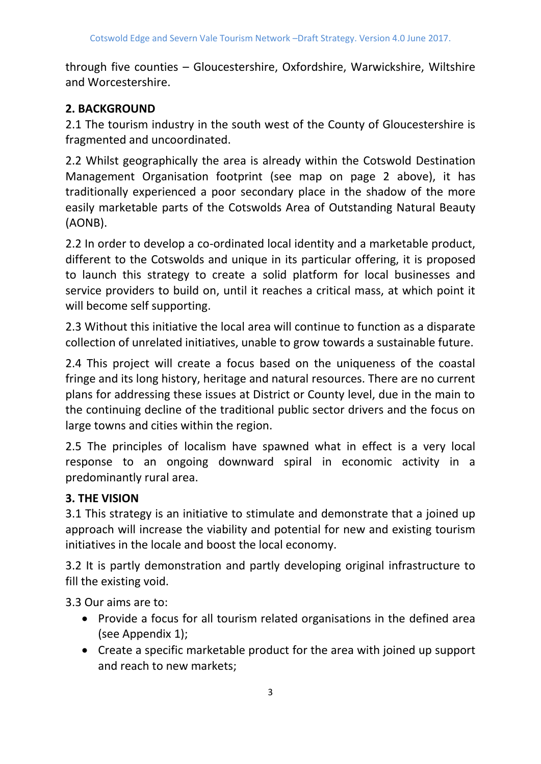through five counties – Gloucestershire, Oxfordshire, Warwickshire, Wiltshire and Worcestershire.

# **2. BACKGROUND**

2.1 The tourism industry in the south west of the County of Gloucestershire is fragmented and uncoordinated.

2.2 Whilst geographically the area is already within the Cotswold Destination Management Organisation footprint (see map on page 2 above), it has traditionally experienced a poor secondary place in the shadow of the more easily marketable parts of the Cotswolds Area of Outstanding Natural Beauty (AONB).

2.2 In order to develop a co-ordinated local identity and a marketable product, different to the Cotswolds and unique in its particular offering, it is proposed to launch this strategy to create a solid platform for local businesses and service providers to build on, until it reaches a critical mass, at which point it will become self supporting.

2.3 Without this initiative the local area will continue to function as a disparate collection of unrelated initiatives, unable to grow towards a sustainable future.

2.4 This project will create a focus based on the uniqueness of the coastal fringe and its long history, heritage and natural resources. There are no current plans for addressing these issues at District or County level, due in the main to the continuing decline of the traditional public sector drivers and the focus on large towns and cities within the region.

2.5 The principles of localism have spawned what in effect is a very local response to an ongoing downward spiral in economic activity in a predominantly rural area.

# **3. THE VISION**

3.1 This strategy is an initiative to stimulate and demonstrate that a joined up approach will increase the viability and potential for new and existing tourism initiatives in the locale and boost the local economy.

3.2 It is partly demonstration and partly developing original infrastructure to fill the existing void.

3.3 Our aims are to:

- Provide a focus for all tourism related organisations in the defined area (see Appendix 1);
- Create a specific marketable product for the area with joined up support and reach to new markets;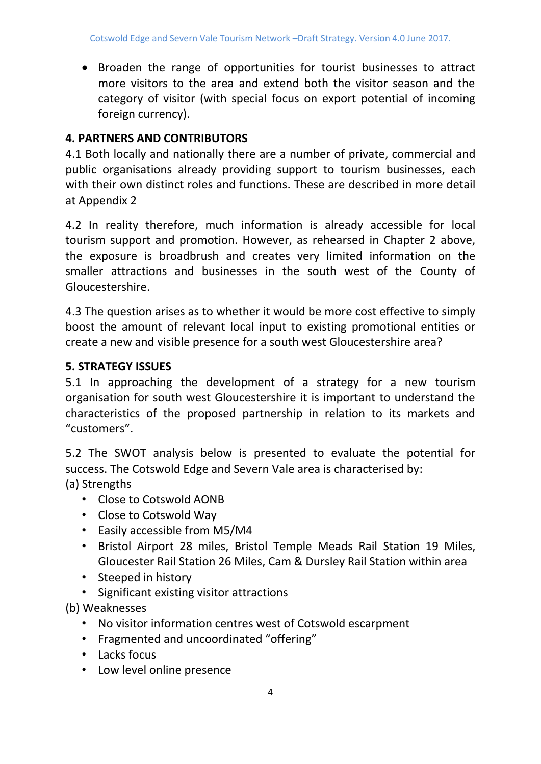• Broaden the range of opportunities for tourist businesses to attract more visitors to the area and extend both the visitor season and the category of visitor (with special focus on export potential of incoming foreign currency).

# **4. PARTNERS AND CONTRIBUTORS**

4.1 Both locally and nationally there are a number of private, commercial and public organisations already providing support to tourism businesses, each with their own distinct roles and functions. These are described in more detail at Appendix 2

4.2 In reality therefore, much information is already accessible for local tourism support and promotion. However, as rehearsed in Chapter 2 above, the exposure is broadbrush and creates very limited information on the smaller attractions and businesses in the south west of the County of Gloucestershire.

4.3 The question arises as to whether it would be more cost effective to simply boost the amount of relevant local input to existing promotional entities or create a new and visible presence for a south west Gloucestershire area?

# **5. STRATEGY ISSUES**

5.1 In approaching the development of a strategy for a new tourism organisation for south west Gloucestershire it is important to understand the characteristics of the proposed partnership in relation to its markets and "customers".

5.2 The SWOT analysis below is presented to evaluate the potential for success. The Cotswold Edge and Severn Vale area is characterised by: (a) Strengths

- Close to Cotswold AONB
- Close to Cotswold Way
- Easily accessible from M5/M4
- Bristol Airport 28 miles, Bristol Temple Meads Rail Station 19 Miles, Gloucester Rail Station 26 Miles, Cam & Dursley Rail Station within area
- Steeped in history
- Significant existing visitor attractions

(b) Weaknesses

- No visitor information centres west of Cotswold escarpment
- Fragmented and uncoordinated "offering"
- Lacks focus
- Low level online presence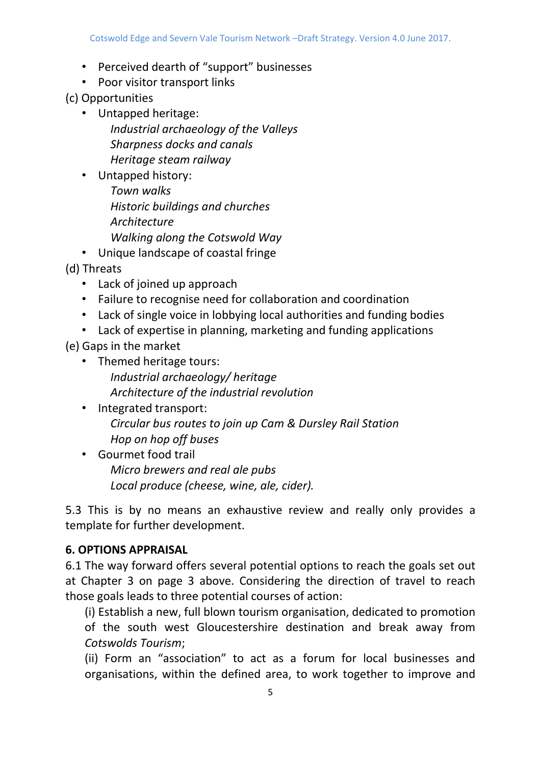- Perceived dearth of "support" businesses
- Poor visitor transport links

(c) Opportunities

- Untapped heritage: *Industrial archaeology of the Valleys Sharpness docks and canals Heritage steam railway*
- Untapped history:
	- *Town walks Historic buildings and churches Architecture Walking along the Cotswold Way*
- Unique landscape of coastal fringe
- (d) Threats
	- Lack of joined up approach
	- Failure to recognise need for collaboration and coordination
	- Lack of single voice in lobbying local authorities and funding bodies
	- Lack of expertise in planning, marketing and funding applications

(e) Gaps in the market

- Themed heritage tours: *Industrial archaeology/ heritage Architecture of the industrial revolution*
- Integrated transport: *Circular bus routes to join up Cam & Dursley Rail Station Hop on hop off buses*
- Gourmet food trail *Micro brewers and real ale pubs Local produce (cheese, wine, ale, cider).*

5.3 This is by no means an exhaustive review and really only provides a template for further development.

# **6. OPTIONS APPRAISAL**

6.1 The way forward offers several potential options to reach the goals set out at Chapter 3 on page 3 above. Considering the direction of travel to reach those goals leads to three potential courses of action:

(i) Establish a new, full blown tourism organisation, dedicated to promotion of the south west Gloucestershire destination and break away from *Cotswolds Tourism*;

(ii) Form an "association" to act as a forum for local businesses and organisations, within the defined area, to work together to improve and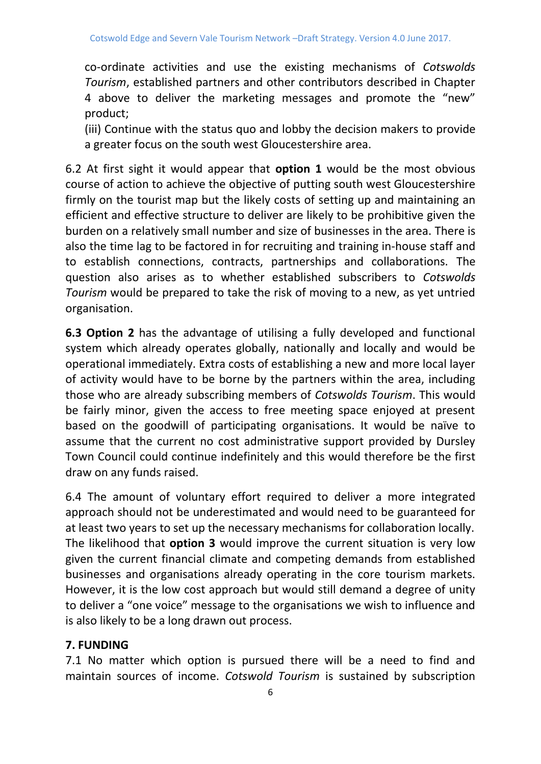co-ordinate activities and use the existing mechanisms of *Cotswolds Tourism*, established partners and other contributors described in Chapter 4 above to deliver the marketing messages and promote the "new" product;

(iii) Continue with the status quo and lobby the decision makers to provide a greater focus on the south west Gloucestershire area.

6.2 At first sight it would appear that **option 1** would be the most obvious course of action to achieve the objective of putting south west Gloucestershire firmly on the tourist map but the likely costs of setting up and maintaining an efficient and effective structure to deliver are likely to be prohibitive given the burden on a relatively small number and size of businesses in the area. There is also the time lag to be factored in for recruiting and training in-house staff and to establish connections, contracts, partnerships and collaborations. The question also arises as to whether established subscribers to *Cotswolds Tourism* would be prepared to take the risk of moving to a new, as yet untried organisation.

**6.3 Option 2** has the advantage of utilising a fully developed and functional system which already operates globally, nationally and locally and would be operational immediately. Extra costs of establishing a new and more local layer of activity would have to be borne by the partners within the area, including those who are already subscribing members of *Cotswolds Tourism*. This would be fairly minor, given the access to free meeting space enjoyed at present based on the goodwill of participating organisations. It would be naïve to assume that the current no cost administrative support provided by Dursley Town Council could continue indefinitely and this would therefore be the first draw on any funds raised.

6.4 The amount of voluntary effort required to deliver a more integrated approach should not be underestimated and would need to be guaranteed for at least two years to set up the necessary mechanisms for collaboration locally. The likelihood that **option 3** would improve the current situation is very low given the current financial climate and competing demands from established businesses and organisations already operating in the core tourism markets. However, it is the low cost approach but would still demand a degree of unity to deliver a "one voice" message to the organisations we wish to influence and is also likely to be a long drawn out process.

# **7. FUNDING**

7.1 No matter which option is pursued there will be a need to find and maintain sources of income. *Cotswold Tourism* is sustained by subscription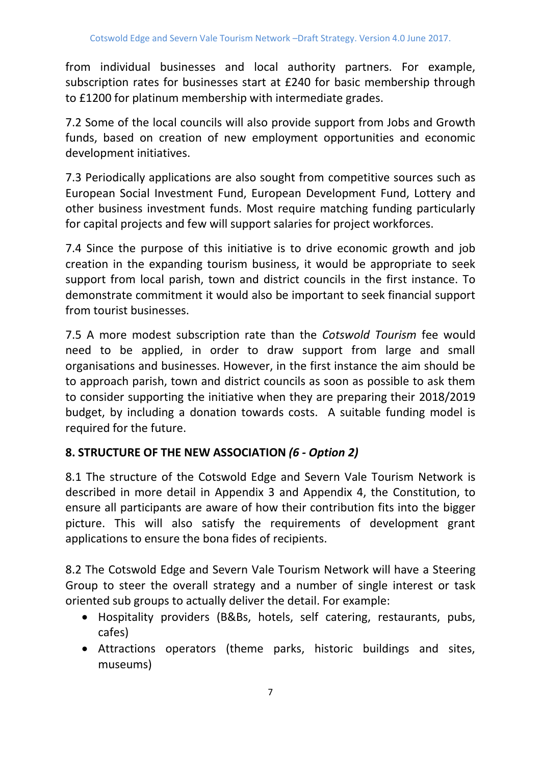from individual businesses and local authority partners. For example, subscription rates for businesses start at £240 for basic membership through to £1200 for platinum membership with intermediate grades.

7.2 Some of the local councils will also provide support from Jobs and Growth funds, based on creation of new employment opportunities and economic development initiatives.

7.3 Periodically applications are also sought from competitive sources such as European Social Investment Fund, European Development Fund, Lottery and other business investment funds. Most require matching funding particularly for capital projects and few will support salaries for project workforces.

7.4 Since the purpose of this initiative is to drive economic growth and job creation in the expanding tourism business, it would be appropriate to seek support from local parish, town and district councils in the first instance. To demonstrate commitment it would also be important to seek financial support from tourist businesses.

7.5 A more modest subscription rate than the *Cotswold Tourism* fee would need to be applied, in order to draw support from large and small organisations and businesses. However, in the first instance the aim should be to approach parish, town and district councils as soon as possible to ask them to consider supporting the initiative when they are preparing their 2018/2019 budget, by including a donation towards costs. A suitable funding model is required for the future.

# **8. STRUCTURE OF THE NEW ASSOCIATION** *(6 - Option 2)*

8.1 The structure of the Cotswold Edge and Severn Vale Tourism Network is described in more detail in Appendix 3 and Appendix 4, the Constitution, to ensure all participants are aware of how their contribution fits into the bigger picture. This will also satisfy the requirements of development grant applications to ensure the bona fides of recipients.

8.2 The Cotswold Edge and Severn Vale Tourism Network will have a Steering Group to steer the overall strategy and a number of single interest or task oriented sub groups to actually deliver the detail. For example:

- Hospitality providers (B&Bs, hotels, self catering, restaurants, pubs, cafes)
- Attractions operators (theme parks, historic buildings and sites, museums)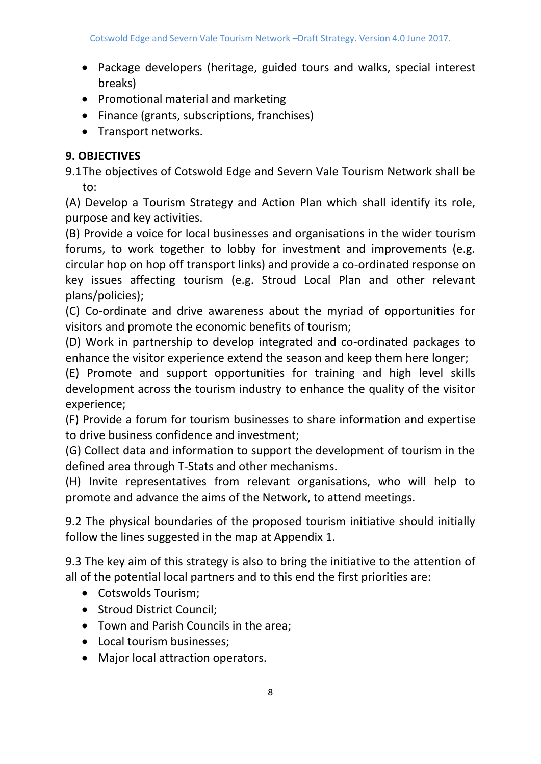- Package developers (heritage, guided tours and walks, special interest breaks)
- Promotional material and marketing
- Finance (grants, subscriptions, franchises)
- Transport networks.

# **9. OBJECTIVES**

9.1The objectives of Cotswold Edge and Severn Vale Tourism Network shall be to:

(A) Develop a Tourism Strategy and Action Plan which shall identify its role, purpose and key activities.

(B) Provide a voice for local businesses and organisations in the wider tourism forums, to work together to lobby for investment and improvements (e.g. circular hop on hop off transport links) and provide a co-ordinated response on key issues affecting tourism (e.g. Stroud Local Plan and other relevant plans/policies);

(C) Co-ordinate and drive awareness about the myriad of opportunities for visitors and promote the economic benefits of tourism;

(D) Work in partnership to develop integrated and co-ordinated packages to enhance the visitor experience extend the season and keep them here longer;

(E) Promote and support opportunities for training and high level skills development across the tourism industry to enhance the quality of the visitor experience;

(F) Provide a forum for tourism businesses to share information and expertise to drive business confidence and investment;

(G) Collect data and information to support the development of tourism in the defined area through T-Stats and other mechanisms.

(H) Invite representatives from relevant organisations, who will help to promote and advance the aims of the Network, to attend meetings.

9.2 The physical boundaries of the proposed tourism initiative should initially follow the lines suggested in the map at Appendix 1.

9.3 The key aim of this strategy is also to bring the initiative to the attention of all of the potential local partners and to this end the first priorities are:

- Cotswolds Tourism;
- Stroud District Council;
- Town and Parish Councils in the area;
- Local tourism businesses;
- Major local attraction operators.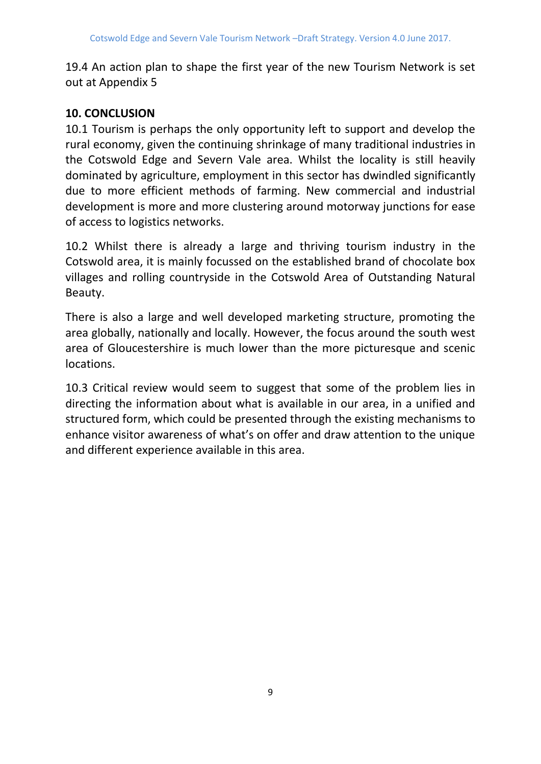19.4 An action plan to shape the first year of the new Tourism Network is set out at Appendix 5

# **10. CONCLUSION**

10.1 Tourism is perhaps the only opportunity left to support and develop the rural economy, given the continuing shrinkage of many traditional industries in the Cotswold Edge and Severn Vale area. Whilst the locality is still heavily dominated by agriculture, employment in this sector has dwindled significantly due to more efficient methods of farming. New commercial and industrial development is more and more clustering around motorway junctions for ease of access to logistics networks.

10.2 Whilst there is already a large and thriving tourism industry in the Cotswold area, it is mainly focussed on the established brand of chocolate box villages and rolling countryside in the Cotswold Area of Outstanding Natural Beauty.

There is also a large and well developed marketing structure, promoting the area globally, nationally and locally. However, the focus around the south west area of Gloucestershire is much lower than the more picturesque and scenic locations.

10.3 Critical review would seem to suggest that some of the problem lies in directing the information about what is available in our area, in a unified and structured form, which could be presented through the existing mechanisms to enhance visitor awareness of what's on offer and draw attention to the unique and different experience available in this area.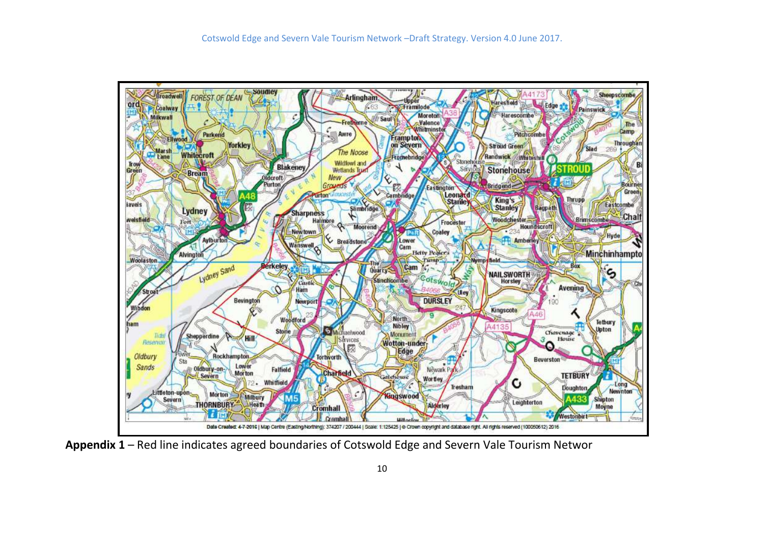

**Appendix 1** – Red line indicates agreed boundaries of Cotswold Edge and Severn Vale Tourism Networ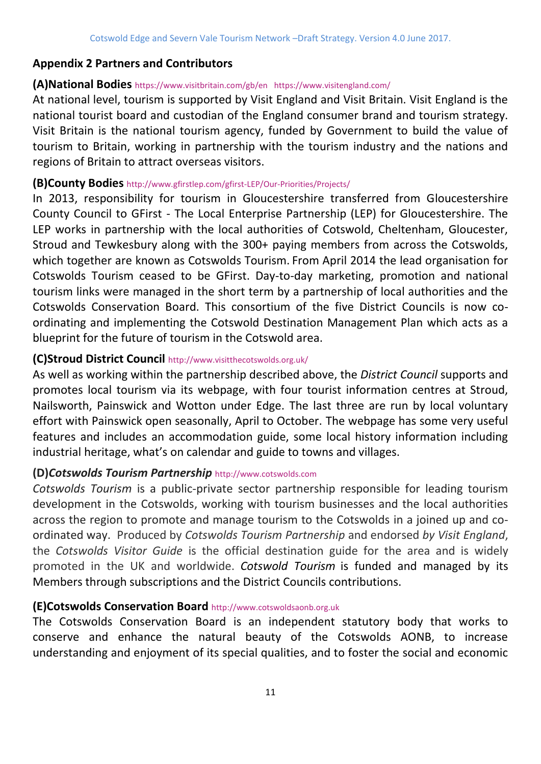### **Appendix 2 Partners and Contributors**

#### **(A)National Bodies** <https://www.visitbritain.com/gb/en><https://www.visitengland.com/>

At national level, tourism is supported by Visit England and Visit Britain. Visit England is the national tourist board and custodian of the England consumer brand and tourism strategy. Visit Britain is the national tourism agency, funded by Government to build the value of tourism to Britain, working in partnership with the tourism industry and the nations and regions of Britain to attract overseas visitors.

#### **(B)County Bodies** <http://www.gfirstlep.com/gfirst-LEP/Our-Priorities/Projects/>

In 2013, responsibility for tourism in Gloucestershire transferred from Gloucestershire County Council to GFirst - The Local Enterprise Partnership (LEP) for Gloucestershire. The LEP works in partnership with the local authorities of Cotswold, Cheltenham, Gloucester, Stroud and Tewkesbury along with the 300+ paying members from across the Cotswolds, which together are known as Cotswolds Tourism. From April 2014 the lead organisation for Cotswolds Tourism ceased to be GFirst. Day-to-day marketing, promotion and national tourism links were managed in the short term by a partnership of local authorities and the Cotswolds Conservation Board. This consortium of the five District Councils is now coordinating and implementing the Cotswold Destination Management Plan which acts as a blueprint for the future of tourism in the Cotswold area. ì

#### **(C)Stroud District Council** [http://www.visitthecotswolds.org.uk/](http://www.visitthecotswolds.org.uk/general.asp?pid=22&pgid=1070)

As well as working within the partnership described above, the *District Council* supports and promotes local tourism via its webpage, with four tourist information centres at Stroud, Nailsworth, Painswick and Wotton under Edge. The last three are run by local voluntary effort with Painswick open seasonally, April to October. The webpage has some very useful features and includes an accommodation guide, some local history information including industrial heritage, what's on calendar and guide to towns and villages.

### **(D)***Cotswolds Tourism Partnership* [http://www.cotswolds.com](http://www.cotswolds.com/partnership)

*Cotswolds Tourism* is a public-private sector partnership responsible for leading tourism development in the Cotswolds, working with tourism businesses and the local authorities across the region to promote and manage tourism to the Cotswolds in a joined up and coordinated way. Produced by *Cotswolds Tourism Partnership* and endorsed *by Visit England*, the *Cotswolds Visitor Guide* is the official destination guide for the area and is widely promoted in the UK and worldwide. *Cotswold Tourism* is funded and managed by its Members through subscriptions and the District Councils contributions.

#### **(E)Cotswolds Conservation Board** [http://www.cotswoldsaonb.org.uk](http://www.cotswoldsaonb.org.ukm/)

The Cotswolds Conservation Board is an independent statutory body that works to conserve and enhance the natural beauty of the Cotswolds AONB, to increase understanding and enjoyment of its special qualities, and to foster the social and economic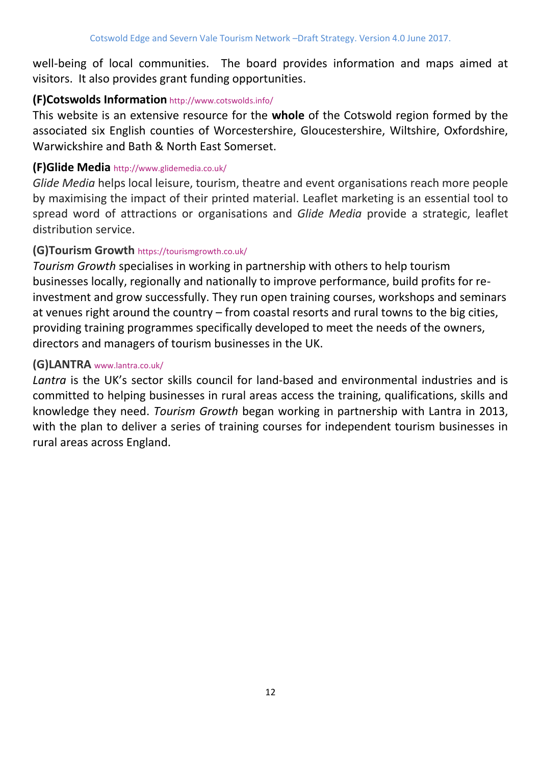well-being of local communities. The board provides information and maps aimed at visitors. It also provides grant funding opportunities.

### **(F)Cotswolds Information** <http://www.cotswolds.info/>

This website is an extensive resource for the **whole** of the Cotswold region formed by the associated six English counties of Worcestershire, Gloucestershire, Wiltshire, Oxfordshire, Warwickshire and Bath & North East Somerset.

### **(F)Glide Media** <http://www.glidemedia.co.uk/>

*Glide Media* helps local leisure, tourism, theatre and event organisations reach more people by maximising the impact of their printed material. Leaflet marketing is an essential tool to spread word of attractions or organisations and *Glide Media* provide a strategic, leaflet distribution service.

### **(G)Tourism Growth** <https://tourismgrowth.co.uk/>

*Tourism Growth* specialises in [working in partnership](https://tourismgrowth.co.uk/partners/) with others to help tourism businesses locally, regionally and nationally to improve performance, build profits for reinvestment and grow successfully. They run open [training courses, workshops and seminars](https://tourismgrowth.co.uk/training-courses-events/) at venues right around the country – from coastal resorts and rural towns to the big cities, providing training programmes specifically developed to meet the needs of the owners, directors and managers of tourism businesses in the UK.

### **(G)LANTRA** [www.lantra.co.uk/](../../AppData/Local/Microsoft/Windows/Helen/AppData/Local/Microsoft/Windows/INetCache/Content.Outlook/ZKPAWNXO/www.lantra.co.uk/)

*Lantra* is the UK's sector skills council for land-based and environmental industries and is committed to helping businesses in rural areas access the training, qualifications, skills and knowledge they need. *Tourism Growth* began [working in partnership](https://tourismgrowth.co.uk/about/working-in-partnership/) with Lantra in 2013, with the plan to deliver a series of training courses for independent tourism businesses in rural areas across England.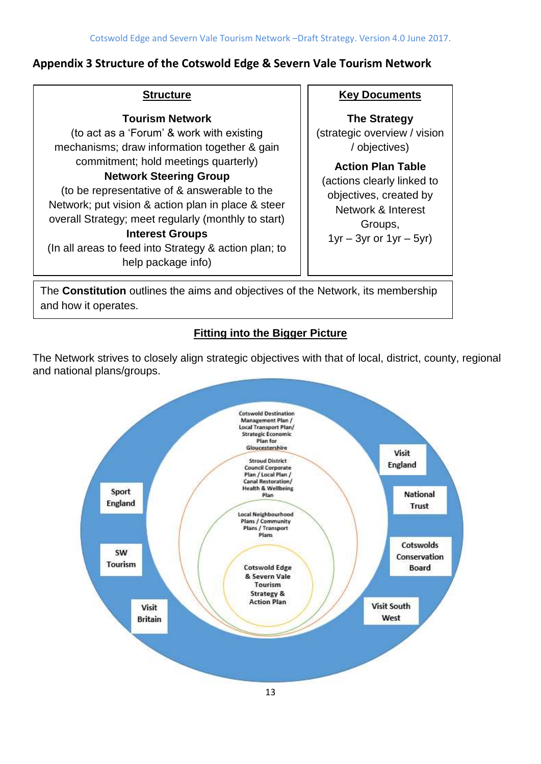### **Appendix 3 Structure of the Cotswold Edge & Severn Vale Tourism Network**

#### **Structure**

#### **Tourism Network**

(to act as a 'Forum' & work with existing mechanisms; draw information together & gain commitment; hold meetings quarterly)

#### **Network Steering Group**

(to be representative of & answerable to the Network; put vision & action plan in place & steer overall Strategy; meet regularly (monthly to start)

### **Interest Groups**

(In all areas to feed into Strategy & action plan; to help package info)

#### **Key Documents**

**The Strategy** (strategic overview / vision / objectives)

**Action Plan Table** (actions clearly linked to objectives, created by Network & Interest Groups,  $1yr - 3yr$  or  $1yr - 5yr$ )

The **Constitution** outlines the aims and objectives of the Network, its membership and how it operates.

# **Fitting into the Bigger Picture**

The Network strives to closely align strategic objectives with that of local, district, county, regional and national plans/groups.

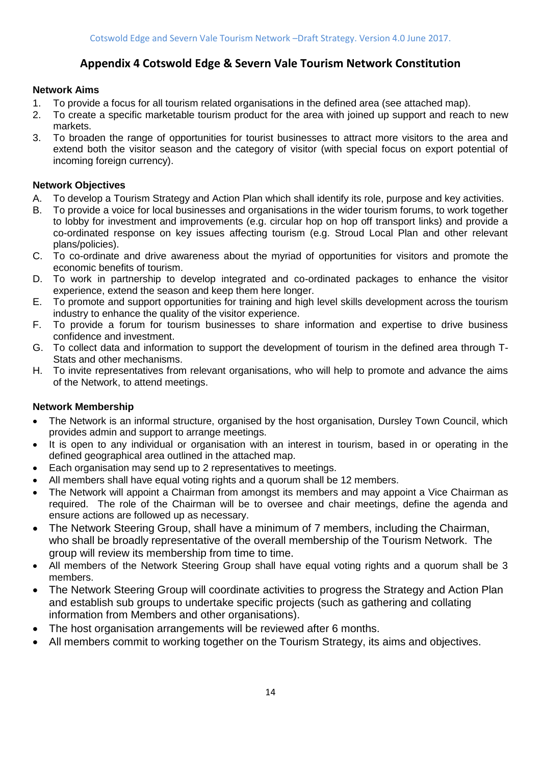### **Appendix 4 Cotswold Edge & Severn Vale Tourism Network Constitution**

#### **Network Aims**

- 1. To provide a focus for all tourism related organisations in the defined area (see attached map).
- 2. To create a specific marketable tourism product for the area with joined up support and reach to new markets.
- 3. To broaden the range of opportunities for tourist businesses to attract more visitors to the area and extend both the visitor season and the category of visitor (with special focus on export potential of incoming foreign currency).

#### **Network Objectives**

- A. To develop a Tourism Strategy and Action Plan which shall identify its role, purpose and key activities.
- B. To provide a voice for local businesses and organisations in the wider tourism forums, to work together to lobby for investment and improvements (e.g. circular hop on hop off transport links) and provide a co-ordinated response on key issues affecting tourism (e.g. Stroud Local Plan and other relevant plans/policies).
- C. To co-ordinate and drive awareness about the myriad of opportunities for visitors and promote the economic benefits of tourism.
- D. To work in partnership to develop integrated and co-ordinated packages to enhance the visitor experience, extend the season and keep them here longer.
- E. To promote and support opportunities for training and high level skills development across the tourism industry to enhance the quality of the visitor experience.
- F. To provide a forum for tourism businesses to share information and expertise to drive business confidence and investment.
- G. To collect data and information to support the development of tourism in the defined area through T-Stats and other mechanisms.
- H. To invite representatives from relevant organisations, who will help to promote and advance the aims of the Network, to attend meetings.

#### **Network Membership**

- The Network is an informal structure, organised by the host organisation, Dursley Town Council, which provides admin and support to arrange meetings.
- It is open to any individual or organisation with an interest in tourism, based in or operating in the defined geographical area outlined in the attached map.
- Each organisation may send up to 2 representatives to meetings.
- All members shall have equal voting rights and a quorum shall be 12 members.
- The Network will appoint a Chairman from amongst its members and may appoint a Vice Chairman as required. The role of the Chairman will be to oversee and chair meetings, define the agenda and ensure actions are followed up as necessary.
- The Network Steering Group, shall have a minimum of 7 members, including the Chairman, who shall be broadly representative of the overall membership of the Tourism Network. The group will review its membership from time to time.
- All members of the Network Steering Group shall have equal voting rights and a quorum shall be 3 members.
- The Network Steering Group will coordinate activities to progress the Strategy and Action Plan and establish sub groups to undertake specific projects (such as gathering and collating information from Members and other organisations).
- The host organisation arrangements will be reviewed after 6 months.
- All members commit to working together on the Tourism Strategy, its aims and objectives.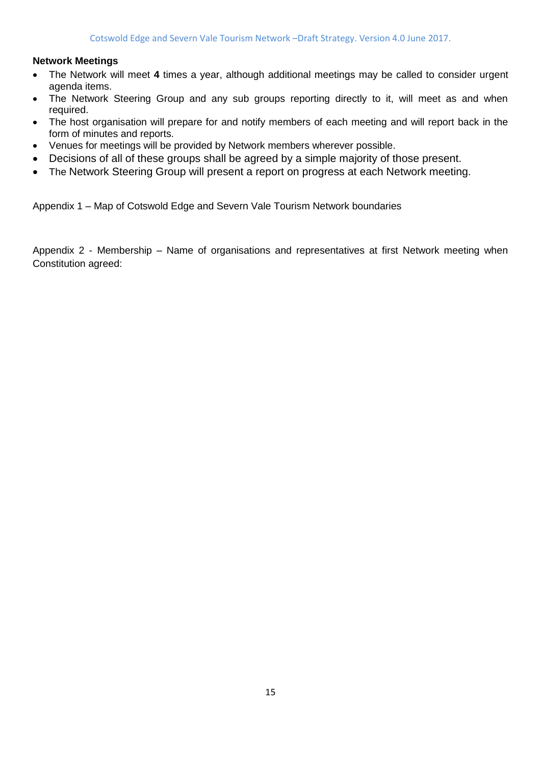#### **Network Meetings**

- The Network will meet **4** times a year, although additional meetings may be called to consider urgent agenda items.
- The Network Steering Group and any sub groups reporting directly to it, will meet as and when required.
- The host organisation will prepare for and notify members of each meeting and will report back in the form of minutes and reports.
- Venues for meetings will be provided by Network members wherever possible.
- Decisions of all of these groups shall be agreed by a simple majority of those present.
- The Network Steering Group will present a report on progress at each Network meeting.

Appendix 1 – Map of Cotswold Edge and Severn Vale Tourism Network boundaries

Appendix 2 - Membership – Name of organisations and representatives at first Network meeting when Constitution agreed: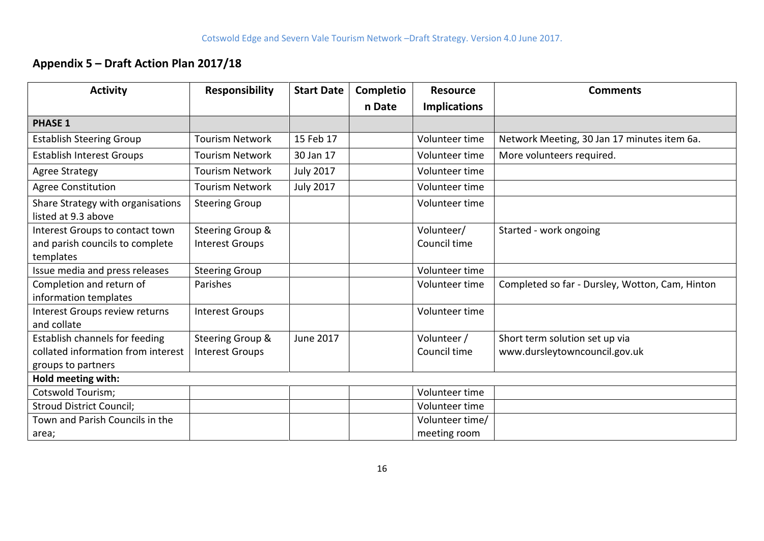# **Appendix 5 – Draft Action Plan 2017/18**

| <b>Activity</b>                                                                 | <b>Responsibility</b>                                 | <b>Start Date</b> | <b>Completio</b> | <b>Resource</b>            | <b>Comments</b>                                 |
|---------------------------------------------------------------------------------|-------------------------------------------------------|-------------------|------------------|----------------------------|-------------------------------------------------|
|                                                                                 |                                                       |                   | n Date           | <b>Implications</b>        |                                                 |
| <b>PHASE 1</b>                                                                  |                                                       |                   |                  |                            |                                                 |
| <b>Establish Steering Group</b>                                                 | <b>Tourism Network</b>                                | 15 Feb 17         |                  | Volunteer time             | Network Meeting, 30 Jan 17 minutes item 6a.     |
| <b>Establish Interest Groups</b>                                                | <b>Tourism Network</b>                                | 30 Jan 17         |                  | Volunteer time             | More volunteers required.                       |
| <b>Agree Strategy</b>                                                           | <b>Tourism Network</b>                                | <b>July 2017</b>  |                  | Volunteer time             |                                                 |
| <b>Agree Constitution</b>                                                       | <b>Tourism Network</b>                                | <b>July 2017</b>  |                  | Volunteer time             |                                                 |
| Share Strategy with organisations<br>listed at 9.3 above                        | <b>Steering Group</b>                                 |                   |                  | Volunteer time             |                                                 |
| Interest Groups to contact town<br>and parish councils to complete<br>templates | <b>Steering Group &amp;</b><br><b>Interest Groups</b> |                   |                  | Volunteer/<br>Council time | Started - work ongoing                          |
| Issue media and press releases                                                  | <b>Steering Group</b>                                 |                   |                  | Volunteer time             |                                                 |
| Completion and return of<br>information templates                               | Parishes                                              |                   |                  | Volunteer time             | Completed so far - Dursley, Wotton, Cam, Hinton |
| Interest Groups review returns<br>and collate                                   | <b>Interest Groups</b>                                |                   |                  | Volunteer time             |                                                 |
| Establish channels for feeding                                                  | Steering Group &                                      | June 2017         |                  | Volunteer /                | Short term solution set up via                  |
| collated information from interest                                              | <b>Interest Groups</b>                                |                   |                  | Council time               | www.dursleytowncouncil.gov.uk                   |
| groups to partners                                                              |                                                       |                   |                  |                            |                                                 |
| Hold meeting with:                                                              |                                                       |                   |                  |                            |                                                 |
| <b>Cotswold Tourism;</b>                                                        |                                                       |                   |                  | Volunteer time             |                                                 |
| <b>Stroud District Council;</b>                                                 |                                                       |                   |                  | Volunteer time             |                                                 |
| Town and Parish Councils in the                                                 |                                                       |                   |                  | Volunteer time/            |                                                 |
| area;                                                                           |                                                       |                   |                  | meeting room               |                                                 |